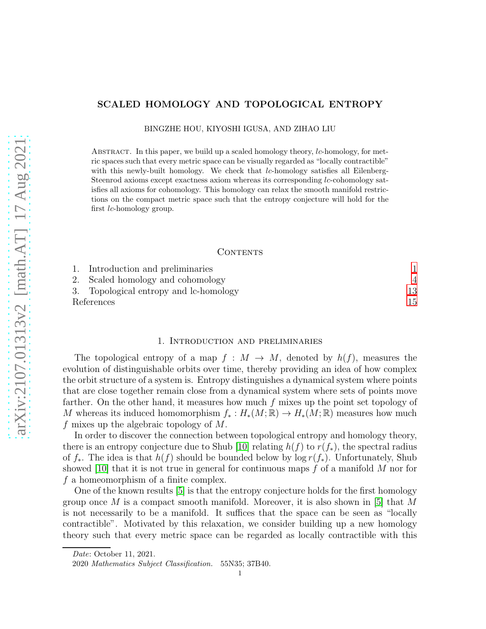# SCALED HOMOLOGY AND TOPOLOGICAL ENTROPY

BINGZHE HOU, KIYOSHI IGUSA, AND ZIHAO LIU

ABSTRACT. In this paper, we build up a scaled homology theory, lc-homology, for metric spaces such that every metric space can be visually regarded as "locally contractible" with this newly-built homology. We check that  $lc$ -homology satisfies all Eilenberg-Steenrod axioms except exactness axiom whereas its corresponding lc-cohomology satisfies all axioms for cohomology. This homology can relax the smooth manifold restrictions on the compact metric space such that the entropy conjecture will hold for the first lc-homology group.

### CONTENTS

|            | 1. Introduction and preliminaries      |    |
|------------|----------------------------------------|----|
|            | 2. Scaled homology and cohomology      |    |
|            | 3. Topological entropy and lc-homology | 13 |
| References |                                        | 15 |

### 1. Introduction and preliminaries

<span id="page-0-0"></span>The topological entropy of a map  $f : M \to M$ , denoted by  $h(f)$ , measures the evolution of distinguishable orbits over time, thereby providing an idea of how complex the orbit structure of a system is. Entropy distinguishes a dynamical system where points that are close together remain close from a dynamical system where sets of points move farther. On the other hand, it measures how much f mixes up the point set topology of M whereas its induced homomorphism  $f_* : H_*(M;\mathbb{R}) \to H_*(M;\mathbb{R})$  measures how much f mixes up the algebraic topology of  $M$ .

In order to discover the connection between topological entropy and homology theory, there is an entropy conjecture due to Shub [10] relating  $h(f)$  to  $r(f_*)$ , the spectral radius of  $f_*$ . The idea is that  $h(f)$  should be bounded below by log  $r(f_*)$ . Unfortunately, Shub showed [10] that it is not true in general for continuous maps  $f$  of a manifold M nor for  $f$  a homeomorphism of a finite complex.

One of the known results [5] is that the entropy conjecture holds for the first homology group once M is a compact smooth manifold. Moreover, it is also shown in [5] that M is not necessarily to be a manifold. It suffices that the space can be seen as "locally contractible". Motivated by this relaxation, we consider building up a new homology theory such that every metric space can be regarded as locally contractible with this

Date: October 11, 2021.

<sup>2020</sup> Mathematics Subject Classification. 55N35; 37B40.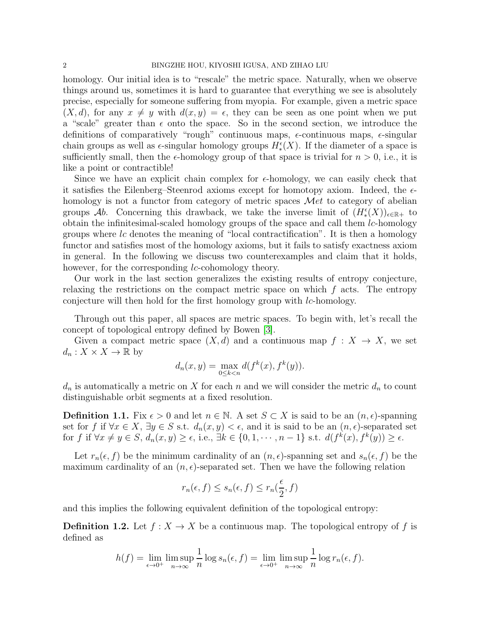homology. Our initial idea is to "rescale" the metric space. Naturally, when we observe things around us, sometimes it is hard to guarantee that everything we see is absolutely precise, especially for someone suffering from myopia. For example, given a metric space  $(X, d)$ , for any  $x \neq y$  with  $d(x, y) = \epsilon$ , they can be seen as one point when we put a "scale" greater than  $\epsilon$  onto the space. So in the second section, we introduce the definitions of comparatively "rough" continuous maps,  $\epsilon$ -continuous maps,  $\epsilon$ -singular chain groups as well as  $\epsilon$ -singular homology groups  $H^{\epsilon}_*(X)$ . If the diameter of a space is sufficiently small, then the  $\epsilon$ -homology group of that space is trivial for  $n > 0$ , i.e., it is like a point or contractible!

Since we have an explicit chain complex for  $\epsilon$ -homology, we can easily check that it satisfies the Eilenberg–Steenrod axioms except for homotopy axiom. Indeed, the  $\epsilon$ homology is not a functor from category of metric spaces  $\mathcal{M}et$  to category of abelian groups Ab. Concerning this drawback, we take the inverse limit of  $(H^{\epsilon}_*(X))_{\epsilon \in \mathbb{R}^+}$  to obtain the infinitesimal-scaled homology groups of the space and call them  $lc$ -homology groups where lc denotes the meaning of "local contractification". It is then a homology functor and satisfies most of the homology axioms, but it fails to satisfy exactness axiom in general. In the following we discuss two counterexamples and claim that it holds, however, for the corresponding *lc*-cohomology theory.

Our work in the last section generalizes the existing results of entropy conjecture, relaxing the restrictions on the compact metric space on which  $f$  acts. The entropy conjecture will then hold for the first homology group with *lc*-homology.

Through out this paper, all spaces are metric spaces. To begin with, let's recall the concept of topological entropy defined by Bowen [3].

Given a compact metric space  $(X, d)$  and a continuous map  $f : X \to X$ , we set  $d_n: X \times X \to \mathbb{R}$  by

$$
d_n(x,y) = \max_{0 \le k < n} d(f^k(x), f^k(y)).
$$

 $d_n$  is automatically a metric on X for each n and we will consider the metric  $d_n$  to count distinguishable orbit segments at a fixed resolution.

**Definition 1.1.** Fix  $\epsilon > 0$  and let  $n \in \mathbb{N}$ . A set  $S \subset X$  is said to be an  $(n, \epsilon)$ -spanning set for f if  $\forall x \in X$ ,  $\exists y \in S$  s.t.  $d_n(x, y) < \epsilon$ , and it is said to be an  $(n, \epsilon)$ -separated set for f if  $\forall x \neq y \in S$ ,  $d_n(x, y) \geq \epsilon$ , i.e.,  $\exists k \in \{0, 1, \cdots, n-1\}$  s.t.  $d(f^k(x), f^k(y)) \geq \epsilon$ .

Let  $r_n(\epsilon, f)$  be the minimum cardinality of an  $(n, \epsilon)$ -spanning set and  $s_n(\epsilon, f)$  be the maximum cardinality of an  $(n, \epsilon)$ -separated set. Then we have the following relation

$$
r_n(\epsilon, f) \le s_n(\epsilon, f) \le r_n(\frac{\epsilon}{2}, f)
$$

and this implies the following equivalent definition of the topological entropy:

**Definition 1.2.** Let  $f: X \to X$  be a continuous map. The topological entropy of f is defined as

$$
h(f) = \lim_{\epsilon \to 0^+} \limsup_{n \to \infty} \frac{1}{n} \log s_n(\epsilon, f) = \lim_{\epsilon \to 0^+} \limsup_{n \to \infty} \frac{1}{n} \log r_n(\epsilon, f).
$$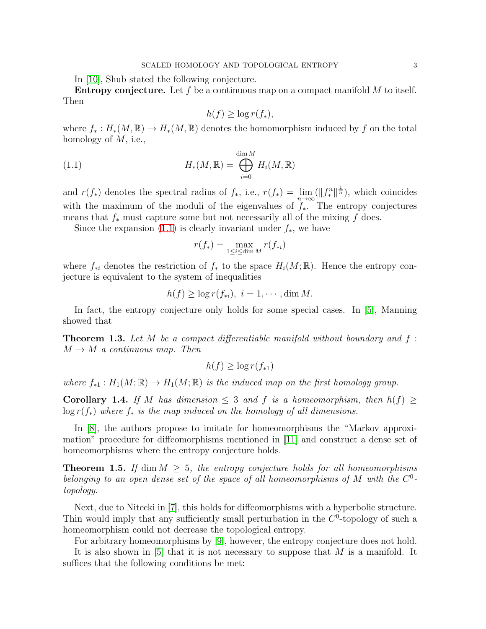In [10], Shub stated the following conjecture.

**Entropy conjecture.** Let f be a continuous map on a compact manifold  $M$  to itself. Then

<span id="page-2-0"></span>
$$
h(f) \ge \log r(f_*),
$$

where  $f_* : H_*(M,\mathbb{R}) \to H_*(M,\mathbb{R})$  denotes the homomorphism induced by f on the total homology of  $M$ , i.e.,

(1.1) 
$$
H_*(M, \mathbb{R}) = \bigoplus_{i=0}^{\dim M} H_i(M, \mathbb{R})
$$

and  $r(f_*)$  denotes the spectral radius of  $f_*$ , i.e.,  $r(f_*) = \lim_{n \to \infty} (\|f_*^n\|^{\frac{1}{n}})$ , which coincides with the maximum of the moduli of the eigenvalues of  $\int_{0}^{\infty}$ . The entropy conjectures means that  $f_*$  must capture some but not necessarily all of the mixing f does.

Since the expansion  $(1.1)$  is clearly invariant under  $f_*$ , we have

$$
r(f_*) = \max_{1 \le i \le \dim M} r(f_{*i})
$$

where  $f_{*i}$  denotes the restriction of  $f_*$  to the space  $H_i(M;\mathbb{R})$ . Hence the entropy conjecture is equivalent to the system of inequalities

$$
h(f) \geq \log r(f_{*i}), \ i = 1, \cdots, \dim M.
$$

In fact, the entropy conjecture only holds for some special cases. In [5], Manning showed that

**Theorem 1.3.** Let M be a compact differentiable manifold without boundary and  $f$ :  $M \rightarrow M$  a continuous map. Then

$$
h(f) \ge \log r(f_{*1})
$$

where  $f_{*1}: H_1(M;\mathbb{R}) \to H_1(M;\mathbb{R})$  is the induced map on the first homology group.

Corollary 1.4. If M has dimension  $\leq$  3 and f is a homeomorphism, then  $h(f) \geq$  $\log r(f_*)$  where  $f_*$  is the map induced on the homology of all dimensions.

In [\[8\]](#page-14-1), the authors propose to imitate for homeomorphisms the "Markov approximation" procedure for diffeomorphisms mentioned in [11] and construct a dense set of homeomorphisms where the entropy conjecture holds.

**Theorem 1.5.** If dim  $M > 5$ , the entropy conjecture holds for all homeomorphisms belonging to an open dense set of the space of all homeomorphisms of M with the  $C^0$ topology.

Next, due to Nitecki in [7], this holds for diffeomorphisms with a hyperbolic structure. Thin would imply that any sufficiently small perturbation in the  $C<sup>0</sup>$ -topology of such a homeomorphism could not decrease the topological entropy.

For arbitrary homeomorphisms by [9], however, the entropy conjecture does not hold.

It is also shown in  $[5]$  that it is not necessary to suppose that M is a manifold. It suffices that the following conditions be met: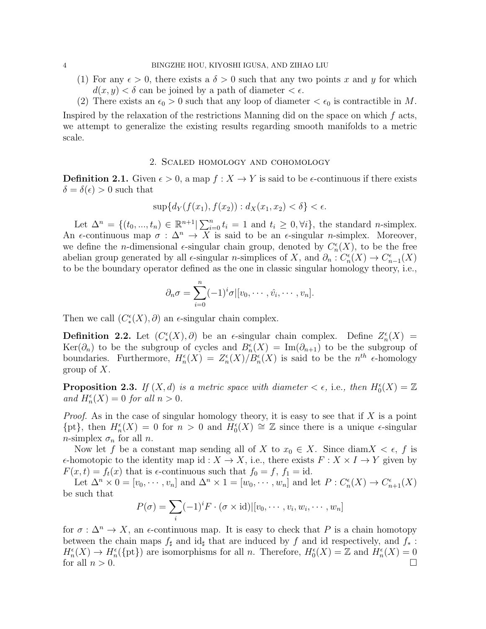- (1) For any  $\epsilon > 0$ , there exists a  $\delta > 0$  such that any two points x and y for which  $d(x, y) < \delta$  can be joined by a path of diameter  $\epsilon \in \epsilon$ .
- (2) There exists an  $\epsilon_0 > 0$  such that any loop of diameter  $\epsilon_0$  is contractible in M.

Inspired by the relaxation of the restrictions Manning did on the space on which  $f$  acts, we attempt to generalize the existing results regarding smooth manifolds to a metric scale.

## 2. Scaled homology and cohomology

<span id="page-3-0"></span>**Definition 2.1.** Given  $\epsilon > 0$ , a map  $f : X \to Y$  is said to be  $\epsilon$ -continuous if there exists  $\delta = \delta(\epsilon) > 0$  such that

$$
\sup\{d_Y(f(x_1), f(x_2)) : d_X(x_1, x_2) < \delta\} < \epsilon.
$$

Let  $\Delta^n = \{(t_0, ..., t_n) \in \mathbb{R}^{n+1} | \sum_{i=0}^n t_i = 1 \text{ and } t_i \geq 0, \forall i\},\$  the standard *n*-simplex. An  $\epsilon$ -continuous map  $\sigma : \Delta^n \to X$  is said to be an  $\epsilon$ -singular *n*-simplex. Moreover, we define the *n*-dimensional  $\epsilon$ -singular chain group, denoted by  $C_n^{\epsilon}(X)$ , to be the free abelian group generated by all  $\epsilon$ -singular *n*-simplices of X, and  $\partial_n : C_n^{\epsilon}(X) \to C_{n-1}^{\epsilon}(X)$ to be the boundary operator defined as the one in classic singular homology theory, i.e.,

$$
\partial_n \sigma = \sum_{i=0}^n (-1)^i \sigma | [v_0, \cdots, \hat{v}_i, \cdots, v_n].
$$

Then we call  $(C^{\epsilon}_*(X), \partial)$  an  $\epsilon$ -singular chain complex.

**Definition 2.2.** Let  $(C^{\epsilon}_*(X), \partial)$  be an  $\epsilon$ -singular chain complex. Define  $Z^{\epsilon}_n(X) =$ Ker( $\partial_n$ ) to be the subgroup of cycles and  $B_n^{\epsilon}(X) = \text{Im}(\partial_{n+1})$  to be the subgroup of boundaries. Furthermore,  $H_n^{\epsilon}(X) = Z_n^{\epsilon}(X)/B_n^{\epsilon}(X)$  is said to be the  $n^{th}$  e-homology group of  $X$ .

**Proposition 2.3.** If  $(X, d)$  is a metric space with diameter  $\lt \epsilon$ , i.e., then  $H_0^{\epsilon}(X) = \mathbb{Z}$ and  $H_n^{\epsilon}(X) = 0$  for all  $n > 0$ .

*Proof.* As in the case of singular homology theory, it is easy to see that if X is a point  $\{pt\}$ , then  $H_n^{\epsilon}(X) = 0$  for  $n > 0$  and  $H_0^{\epsilon}(X) \cong \mathbb{Z}$  since there is a unique  $\epsilon$ -singular *n*-simplex  $\sigma_n$  for all *n*.

Now let f be a constant map sending all of X to  $x_0 \in X$ . Since diam $X \leq \epsilon$ , f is  $\epsilon$ -homotopic to the identity map id :  $X \to X$ , i.e., there exists  $F : X \times I \to Y$  given by  $F(x, t) = f_t(x)$  that is  $\epsilon$ -continuous such that  $f_0 = f$ ,  $f_1 = id$ .

Let  $\Delta^n \times 0 = [v_0, \dots, v_n]$  and  $\Delta^n \times 1 = [w_0, \dots, w_n]$  and let  $P : C_n^{\epsilon}(X) \to C_{n+1}^{\epsilon}(X)$ be such that

$$
P(\sigma) = \sum_{i} (-1)^{i} F \cdot (\sigma \times \text{id}) | [v_0, \cdots, v_i, w_i, \cdots, w_n]
$$

for  $\sigma : \Delta^n \to X$ , an  $\epsilon$ -continuous map. It is easy to check that P is a chain homotopy between the chain maps  $f_{\sharp}$  and id<sub> $\sharp$ </sub> that are induced by f and id respectively, and  $f_{*}$ :  $H_n^{\epsilon}(X) \to H_n^{\epsilon}(\{\text{pt}\})$  are isomorphisms for all n. Therefore,  $H_0^{\epsilon}(X) = \mathbb{Z}$  and  $H_n^{\epsilon}(X) = 0$ for all  $n > 0$ .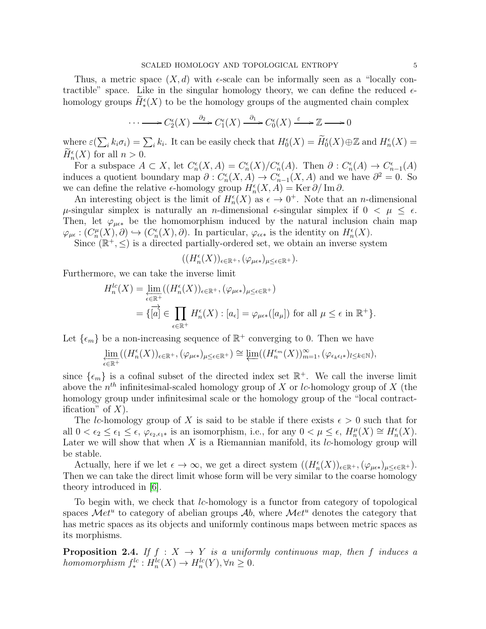Thus, a metric space  $(X, d)$  with  $\epsilon$ -scale can be informally seen as a "locally contractible" space. Like in the singular homology theory, we can define the reduced  $\epsilon$ homology groups  $\tilde{H}_{*}^{\epsilon}(X)$  to be the homology groups of the augmented chain complex

$$
\cdots \longrightarrow C_2^{\epsilon}(X) \xrightarrow{\partial_2} C_1^{\epsilon}(X) \xrightarrow{\partial_1} C_0^{\epsilon}(X) \xrightarrow{\varepsilon} \mathbb{Z} \longrightarrow 0
$$

where  $\varepsilon(\sum_i k_i \sigma_i) = \sum_i k_i$ . It can be easily check that  $H_0^{\epsilon}(X) = \widetilde{H}_0^{\epsilon}(X) \oplus \mathbb{Z}$  and  $H_n^{\epsilon}(X) =$  $H_n^{\epsilon}(X)$  for all  $n > 0$ .

For a subspace  $A \subset X$ , let  $C_n^{\epsilon}(X, A) = C_n^{\epsilon}(X)/C_n^{\epsilon}(A)$ . Then  $\partial : C_n^{\epsilon}(A) \to C_{n-1}^{\epsilon}(A)$ induces a quotient boundary map  $\partial: C_n^{\epsilon}(X, A) \to C_{n-1}^{\epsilon}(X, A)$  and we have  $\partial^2 = 0$ . So we can define the relative  $\epsilon$ -homology group  $H_n^{\epsilon}(X, A) = \text{Ker} \partial / \text{Im} \partial$ .

An interesting object is the limit of  $H_n^{\epsilon}(X)$  as  $\epsilon \to 0^+$ . Note that an *n*-dimensional  $\mu$ -singular simplex is naturally an *n*-dimensional  $\epsilon$ -singular simplex if  $0 < \mu \leq \epsilon$ . Then, let  $\varphi_{\mu\epsilon*}$  be the homomorphism induced by the natural inclusion chain map  $\varphi_{\mu\epsilon}: (C_n^{\mu}(X), \partial) \hookrightarrow (C_n^{\epsilon}(X), \partial)$ . In particular,  $\varphi_{\epsilon\epsilon*}$  is the identity on  $H_n^{\epsilon}(X)$ .

Since  $(\mathbb{R}^+, \leq)$  is a directed partially-ordered set, we obtain an inverse system

$$
((H_n^{\epsilon}(X))_{\epsilon \in \mathbb{R}^+}, (\varphi_{\mu \epsilon *})_{\mu \leq \epsilon \in \mathbb{R}^+}).
$$

Furthermore, we can take the inverse limit

$$
H_n^{lc}(X) = \varprojlim_{\epsilon \in \mathbb{R}^+} ((H_n^{\epsilon}(X))_{\epsilon \in \mathbb{R}^+}, (\varphi_{\mu \epsilon *})_{\mu \le \epsilon \in \mathbb{R}^+})
$$
  
= {  $\overline{[a]} \in \prod_{\epsilon \in \mathbb{R}^+} H_n^{\epsilon}(X) : [a_{\epsilon}] = \varphi_{\mu \epsilon *}([a_{\mu}])$  for all  $\mu \le \epsilon$  in  $\mathbb{R}^+}.$ 

Let  $\{\epsilon_m\}$  be a non-increasing sequence of  $\mathbb{R}^+$  converging to 0. Then we have

$$
\varprojlim_{\epsilon \in \mathbb{R}^+} ((H_n^\epsilon(X))_{\epsilon \in \mathbb{R}^+}, (\varphi_{\mu \epsilon *})_{\mu \leq \epsilon \in \mathbb{R}^+}) \cong \varprojlim ((H_n^{\epsilon_m}(X))_{m=1}^\infty, (\varphi_{\epsilon_k \epsilon_l *})_{l \leq k \in \mathbb{N}}),
$$

since  $\{\epsilon_m\}$  is a cofinal subset of the directed index set  $\mathbb{R}^+$ . We call the inverse limit above the  $n^{th}$  infinitesimal-scaled homology group of X or *lc*-homology group of X (the homology group under infinitesimal scale or the homology group of the "local contractification" of  $X$ ).

The lc-homology group of X is said to be stable if there exists  $\epsilon > 0$  such that for all  $0 < \epsilon_2 \leq \epsilon_1 \leq \epsilon$ ,  $\varphi_{\epsilon_2,\epsilon_1*}$  is an isomorphism, i.e., for any  $0 < \mu \leq \epsilon$ ,  $H_n^{\mu}(X) \cong H_n^{\epsilon}(X)$ . Later we will show that when  $X$  is a Riemannian manifold, its  $lc$ -homology group will be stable.

Actually, here if we let  $\epsilon \to \infty$ , we get a direct system  $((H_n^{\epsilon}(X))_{\epsilon \in \mathbb{R}^+}, (\varphi_{\mu \epsilon *})_{\mu \leq \epsilon \in \mathbb{R}^+}).$ Then we can take the direct limit whose form will be very similar to the coarse homology theory introduced in [6].

To begin with, we check that lc-homology is a functor from category of topological spaces  $\mathcal{M}et^u$  to category of abelian groups  $\mathcal{A}b$ , where  $\mathcal{M}et^u$  denotes the category that has metric spaces as its objects and uniformly continous maps between metric spaces as its morphisms.

**Proposition 2.4.** If  $f : X \rightarrow Y$  is a uniformly continuous map, then f induces a homomorphism  $f_*^{lc}: H_n^{lc}(X) \to H_n^{lc}(Y), \forall n \geq 0.$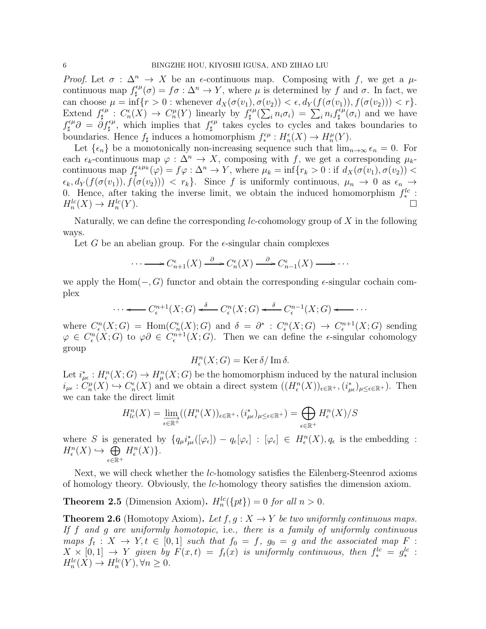Proof. Let  $\sigma : \Delta^n \to X$  be an  $\epsilon$ -continuous map. Composing with f, we get a  $\mu$ continuous map  $f_{\text{H}}^{\epsilon\mu}$  $\psi_{\sharp}^{\epsilon\mu}(\sigma) = f\sigma : \Delta^n \to Y$ , where  $\mu$  is determined by f and  $\sigma$ . In fact, we can choose  $\mu = \inf \{ r > 0 : \text{whenever } d_X(\sigma(v_1), \sigma(v_2)) < \epsilon, d_Y(f(\sigma(v_1)), f(\sigma(v_2))) < r \}.$ Extend  $f_{\text{H}}^{\epsilon\mu}$  $C_n^{\epsilon\mu}: C_n^{\epsilon}(X) \to C_n^{\mu}(Y)$  linearly by  $f_{\sharp}^{\epsilon\mu}$  $\sum_{i=1}^{N} \sum_{i=1}^{N} n_i \sigma_i = \sum_{i=1}^{N} n_i f^{\epsilon \mu}_{\sharp}$  $\int_{\sharp}^{\epsilon\mu}(\sigma_i)$  and we have  $f^{\epsilon\mu}_{\dagger}$  $\hat{\theta}^{\epsilon\mu}_{\sharp}\partial = \hat{\partial} f^{\epsilon\mu}_{\sharp},$  which implies that  $f^{\epsilon\mu}_{\sharp}$  $\psi_{\sharp}^{\epsilon\mu}$  takes cycles to cycles and takes boundaries to boundaries. Hence  $f_{\sharp}$  induces a homomorphism  $f_*^{\epsilon\mu}: H_n^{\epsilon}(X) \to H_n^{\mu}(Y)$ .

Let  $\{\epsilon_n\}$  be a monotonically non-increasing sequence such that  $\lim_{n\to\infty} \epsilon_n = 0$ . For each  $\epsilon_k$ -continuous map  $\varphi : \Delta^n \to X$ , composing with f, we get a corresponding  $\mu_k$ continuous map  $f_{\text{H}}^{\epsilon_k \mu_k}$  $\psi_{\sharp}^{\epsilon_k \mu_k}(\varphi) = f \varphi : \Delta^n \to Y$ , where  $\mu_k = \inf \{ r_k > 0 : \text{if } d_X(\sigma(v_1), \sigma(v_2)) <$  $\epsilon_k, d_Y(f(\sigma(v_1)), f(\sigma(v_2))) < r_k$ . Since f is uniformly continuous,  $\mu_n \to 0$  as  $\epsilon_n \to$ 0. Hence, after taking the inverse limit, we obtain the induced homomorphism  $f_*^{lc}$ :  $H_n^{lc}(X) \to H_n^{lc}$  $(Y).$ 

Naturally, we can define the corresponding  $lc$ -cohomology group of  $X$  in the following ways.

Let G be an abelian group. For the  $\epsilon$ -singular chain complexes

$$
\cdots \longrightarrow C_{n+1}^{\epsilon}(X) \xrightarrow{\partial} C_n^{\epsilon}(X) \xrightarrow{\partial} C_{n-1}^{\epsilon}(X) \longrightarrow \cdots
$$

we apply the Hom( $-, G$ ) functor and obtain the corresponding  $\epsilon$ -singular cochain complex

$$
\cdots \longleftarrow C_{\epsilon}^{n+1}(X;G) \stackrel{\delta}{\longleftarrow} C_{\epsilon}^{n}(X;G) \stackrel{\delta}{\longleftarrow} C_{\epsilon}^{n-1}(X;G) \longleftarrow \cdots
$$

where  $C_{\epsilon}^n(X;G) = \text{Hom}(C_n^{\epsilon}(X);G)$  and  $\delta = \partial^* : C_{\epsilon}^n(X;G) \to C_{\epsilon}^{n+1}(X;G)$  sending  $\varphi \in C_{\epsilon}^{n}(X;G)$  to  $\varphi \partial \in C_{\epsilon}^{n+1}(X;G)$ . Then we can define the  $\epsilon$ -singular cohomology group

$$
H_{\epsilon}^{n}(X;G) = \operatorname{Ker} \delta / \operatorname{Im} \delta.
$$

Let  $i_{\mu\epsilon}^*: H_{\epsilon}^n(X;G) \to H_{\mu}^n(X;G)$  be the homomorphism induced by the natural inclusion  $i_{\mu\epsilon}: C_n^{\mu}(X) \hookrightarrow C_n^{\epsilon}(X)$  and we obtain a direct system  $((H^n_{\epsilon}(X))_{\epsilon \in \mathbb{R}^+}, (i_{\mu\epsilon}^*)_{\mu \leq \epsilon \in \mathbb{R}^+})$ . Then we can take the direct limit

$$
H_{lc}^n(X) = \lim_{\epsilon \in \mathbb{R}^+} ((H_{\epsilon}^n(X))_{\epsilon \in \mathbb{R}^+}, (i_{\mu\epsilon}^*)_{\mu \le \epsilon \in \mathbb{R}^+}) = \bigoplus_{\epsilon \in \mathbb{R}^+} H_{\epsilon}^n(X)/S
$$

where S is generated by  $\{q_\mu i^*_{\mu\epsilon}([\varphi_\epsilon]) - q_\epsilon[\varphi_\epsilon] : [\varphi_\epsilon] \in H^n_\epsilon(X), q_\epsilon$  is the embedding :  $H^n_{\epsilon}(X) \hookrightarrow \tilde{\bigoplus}$ ǫ∈R<sup>+</sup>  $H^n_{\epsilon}(X)\}.$ 

Next, we will check whether the lc-homology satisfies the Eilenberg-Steenrod axioms of homology theory. Obviously, the *lc*-homology theory satisfies the dimension axiom.

**Theorem 2.5** (Dimension Axiom).  $H_n^{lc}(\{pt\}) = 0$  for all  $n > 0$ .

**Theorem 2.6** (Homotopy Axiom). Let  $f, g: X \to Y$  be two uniformly continuous maps. If f and g are uniformly homotopic, i.e., there is a family of uniformly continuous maps  $f_t: X \to Y, t \in [0,1]$  such that  $f_0 = f$ ,  $g_0 = g$  and the associated map F:  $X \times [0,1] \rightarrow Y$  given by  $F(x,t) = f_t(x)$  is uniformly continuous, then  $f_*^{lc} = g_*^{lc}$ :  $H_n^{lc}(X) \to H_n^{lc}(Y), \forall n \geq 0.$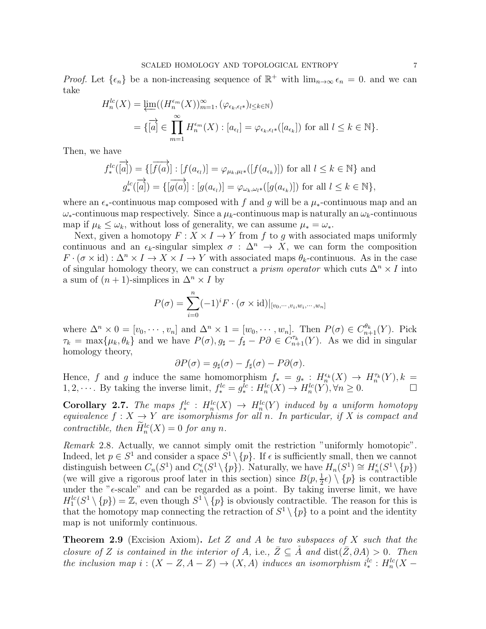*Proof.* Let  $\{\epsilon_n\}$  be a non-increasing sequence of  $\mathbb{R}^+$  with  $\lim_{n\to\infty} \epsilon_n = 0$ . and we can take

$$
H_n^{lc}(X) = \varprojlim \left( (H_n^{\epsilon_m}(X))_{m=1}^{\infty}, (\varphi_{\epsilon_k, \epsilon_l *})_{l \le k \in \mathbb{N}} \right)
$$
  
=  $\{ \overline{[a]} \in \prod_{m=1}^{\infty} H_n^{\epsilon_m}(X) : [a_{\epsilon_l}] = \varphi_{\epsilon_k, \epsilon_l *}([a_{\epsilon_k}]) \text{ for all } l \le k \in \mathbb{N} \}.$ 

Then, we have

$$
f_*^{lc}(\overrightarrow{[a]}) = \{ [\overrightarrow{f(a)}] : [f(a_{\epsilon_l})] = \varphi_{\mu_k, \mu_l * }([f(a_{\epsilon_k})]) \text{ for all } l \le k \in \mathbb{N} \} \text{ and}
$$

$$
g_*^{lc}(\overrightarrow{[a]}) = \{ [\overrightarrow{g(a)}] : [g(a_{\epsilon_l})] = \varphi_{\omega_k, \omega_l * }([g(a_{\epsilon_k})]) \text{ for all } l \le k \in \mathbb{N} \},
$$

where an  $\epsilon_*$ -continuous map composed with f and g will be a  $\mu_*$ -continuous map and an  $\omega_*$ -continuous map respectively. Since a  $\mu_k$ -continuous map is naturally an  $\omega_k$ -continuous map if  $\mu_k \leq \omega_k$ , without loss of generality, we can assume  $\mu_* = \omega_*$ .

Next, given a homotopy  $F: X \times I \to Y$  from f to g with associated maps uniformly continuous and an  $\epsilon_k$ -singular simplex  $\sigma : \Delta^n \to X$ , we can form the composition  $F \cdot (\sigma \times id) : \Delta^n \times I \to X \times I \to Y$  with associated maps  $\theta_k$ -continuous. As in the case of singular homology theory, we can construct a *prism operator* which cuts  $\Delta^n \times I$  into a sum of  $(n + 1)$ -simplices in  $\Delta^n \times I$  by

$$
P(\sigma) = \sum_{i=0}^{n} (-1)^{i} F \cdot (\sigma \times \text{id})|_{[v_0, \dots, v_i, w_i, \dots, w_n]}
$$

where  $\Delta^n \times 0 = [v_0, \dots, v_n]$  and  $\Delta^n \times 1 = [w_0, \dots, w_n]$ . Then  $P(\sigma) \in C_{n+1}^{\theta_k}(Y)$ . Pick  $\tau_k = \max\{\mu_k, \theta_k\}$  and we have  $P(\sigma), g_\sharp - f_\sharp - P\partial \in C_{n+1}^{\tau_k}(Y)$ . As we did in singular homology theory,

$$
\partial P(\sigma) = g_{\sharp}(\sigma) - f_{\sharp}(\sigma) - P\partial(\sigma).
$$

Hence, f and g induce the same homomorphism  $f_* = g_* : H_n^{\epsilon_k}(X) \to H_n^{\tau_k}(Y), k =$ 1, 2,  $\cdots$  By taking the inverse limit,  $f_*^{lc} = g_*^{\overline{l}c}$ :  $H_n^{lc}(X) \to H_n^{lc}(Y)$ ,  $\forall n \geq 0$ .

**Corollary 2.7.** The maps  $f_*^{lc}: H_n^{lc}(X) \rightarrow H_n^{lc}(Y)$  induced by a uniform homotopy equivalence  $f: X \to Y$  are isomorphisms for all n. In particular, if X is compact and contractible, then  $\overline{H}_n^{lc}(X) = 0$  for any n.

Remark 2.8. Actually, we cannot simply omit the restriction "uniformly homotopic". Indeed, let  $p \in S^1$  and consider a space  $S^1 \setminus \{p\}$ . If  $\epsilon$  is sufficiently small, then we cannot distinguish between  $C_n(S^1)$  and  $C_n^{\epsilon}(S^1 \setminus \{p\})$ . Naturally, we have  $H_n(S^1) \cong H_n^{\epsilon}(S^1 \setminus \{p\})$ (we will give a rigorous proof later in this section) since  $B(p, \frac{1}{2} \epsilon) \setminus \{p\}$  is contractible under the " $\epsilon$ -scale" and can be regarded as a point. By taking inverse limit, we have  $H_1^{lc}(S^1 \setminus \{p\}) = \mathbb{Z}$ , even though  $S^1 \setminus \{p\}$  is obviously contractible. The reason for this is that the homotopy map connecting the retraction of  $S^1 \setminus \{p\}$  to a point and the identity map is not uniformly continuous.

**Theorem 2.9** (Excision Axiom). Let Z and A be two subspaces of X such that the closure of Z is contained in the interior of A, i.e.,  $\bar{Z} \subseteq A$  and  $dist(\bar{Z}, \partial A) > 0$ . Then the inclusion map  $i:(X - Z, A - Z) \rightarrow (X, A)$  induces an isomorphism  $i_*^{lc}: H_n^{lc}(X - A)$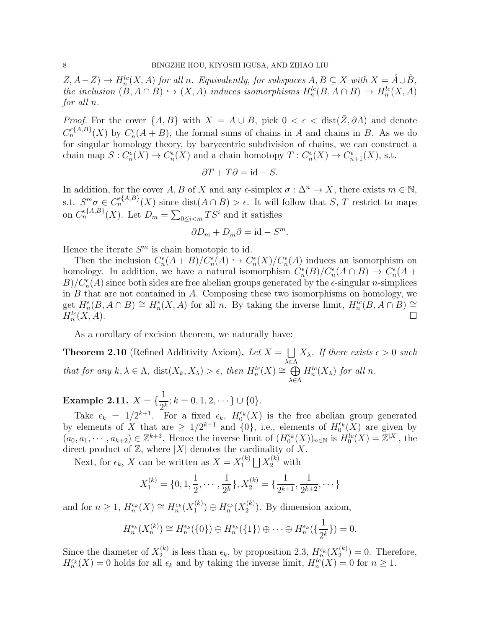$(Z, A - Z) \to H_n^{lc}(X, A)$  for all n. Equivalently, for subspaces  $A, B \subseteq X$  with  $X = \AA \cup \overset{\circ}{B}$ , the inclusion  $(B, A \cap B) \hookrightarrow (X, A)$  induces isomorphisms  $H_n^{lc}(B, A \cap B) \to H_n^{lc}(X, A)$ for all n.

*Proof.* For the cover  $\{A, B\}$  with  $X = A \cup B$ , pick  $0 < \epsilon < \text{dist}(\bar{Z}, \partial A)$  and denote  $C_n^{\epsilon{A,B}}(X)$  by  $C_n^{\epsilon}(A+B)$ , the formal sums of chains in A and chains in B. As we do for singular homology theory, by barycentric subdivision of chains, we can construct a chain map  $S: C_n^{\epsilon}(X) \to C_n^{\epsilon}(X)$  and a chain homotopy  $T: C_n^{\epsilon}(X) \to C_{n+1}^{\epsilon}(X)$ , s.t.

$$
\partial T + T\partial = \mathrm{id} - S.
$$

In addition, for the cover A, B of X and any  $\epsilon$ -simplex  $\sigma : \Delta^n \to X$ , there exists  $m \in \mathbb{N}$ , s.t.  $S^m \sigma \in C_n^{\epsilon{A,B}}(X)$  since  $dist(A \cap B) > \epsilon$ . It will follow that S, T restrict to maps on  $C_n^{\epsilon{A,B}}(X)$ . Let  $D_m = \sum_{0 \le i < m} TS^i$  and it satisfies

$$
\partial D_m + D_m \partial = \text{id} - S^m.
$$

Hence the iterate  $S<sup>m</sup>$  is chain homotopic to id.

Then the inclusion  $C_n^{\epsilon}(A + B)/C_n^{\epsilon}(A) \hookrightarrow C_n^{\epsilon}(X)/C_n^{\epsilon}(A)$  induces an isomorphism on homology. In addition, we have a natural isomorphism  $C_n^{\epsilon}(B)/C_n^{\epsilon}(A \cap B) \to C_n^{\epsilon}(A +$  $B/C_n^{\epsilon}(A)$  since both sides are free abelian groups generated by the  $\epsilon$ -singular *n*-simplices in  $B$  that are not contained in  $A$ . Composing these two isomorphisms on homology, we get  $H_n^{\epsilon}(B, A \cap B) \cong H_n^{\epsilon}(X, A)$  for all n. By taking the inverse limit,  $H_n^{lc}(B, A \cap B) \cong$  $H_n^{lc}$  $(X, A)$ .

As a corollary of excision theorem, we naturally have:

**Theorem 2.10** (Refined Additivity Axiom). Let  $X = \bigsqcup$ λ∈Λ  $X_{\lambda}$ . If there exists  $\epsilon > 0$  such that for any  $k, \lambda \in \Lambda$ ,  $dist(X_k, X_\lambda) > \epsilon$ , then  $H_n^{lc}(X) \cong \bigoplus$ λ∈Λ  $H_n^{lc}(X_\lambda)$  for all n.

Example 2.11.  $X = \{\frac{1}{2}$  $\frac{1}{2^k}; k = 0, 1, 2, \cdots\} \cup \{0\}.$ 

Take  $\epsilon_k = 1/2^{k+1}$ . For a fixed  $\epsilon_k$ ,  $H_0^{\epsilon_k}(X)$  is the free abelian group generated by elements of X that are  $\geq 1/2^{k+1}$  and  $\{0\}$ , i.e., elements of  $H_0^{\epsilon_k}(X)$  are given by  $(a_0, a_1, \dots, a_{k+2}) \in \mathbb{Z}^{k+3}$ . Hence the inverse limit of  $(H_0^{\epsilon_k}(X))_{n \in \mathbb{N}}$  is  $H_0^{lc}(X) = \mathbb{Z}^{|X|}$ , the direct product of  $\mathbb{Z}$ , where  $|X|$  denotes the cardinality of X.

Next, for  $\epsilon_k$ , X can be written as  $X = X_1^{(k)}$  $X_1^{(k)} \bigsqcup X_2^{(k)}$  with

$$
X_1^{(k)} = \{0, 1, \frac{1}{2}, \cdots, \frac{1}{2^k}\}, X_2^{(k)} = \{\frac{1}{2^{k+1}}, \frac{1}{2^{k+2}}, \cdots\}
$$

and for  $n \geq 1$ ,  $H_n^{\epsilon_k}(X) \cong H_n^{\epsilon_k}(X_1^{(k)})$  $H_n^{\epsilon_k}(X_2^{(k)})\oplus H_n^{\epsilon_k}(X_2^{(k)})$  $2^{(\kappa)}$ ). By dimension axiom,

$$
H_n^{\epsilon_k}(X_n^{(k)}) \cong H_n^{\epsilon_k}(\{0\}) \oplus H_n^{\epsilon_k}(\{1\}) \oplus \cdots \oplus H_n^{\epsilon_k}(\{\frac{1}{2^k}\}) = 0.
$$

Since the diameter of  $X_2^{(k)}$  $\mathcal{L}_2^{(k)}$  is less than  $\epsilon_k$ , by proposition 2.3,  $H_n^{\epsilon_k}(X_2^{(k)})$  $2^{(\kappa)}$  = 0. Therefore,  $H_n^{\epsilon_k}(X) = 0$  holds for all  $\epsilon_k$  and by taking the inverse limit,  $H_n^{lc}(X) = 0$  for  $n \geq 1$ .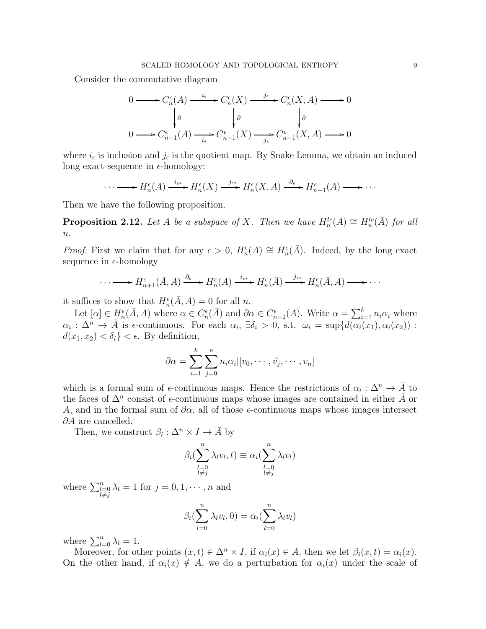Consider the commutative diagram

$$
0 \longrightarrow C_n^{\epsilon}(A) \xrightarrow{i_{\epsilon}} C_n^{\epsilon}(X) \xrightarrow{j_{\epsilon}} C_n^{\epsilon}(X, A) \longrightarrow 0
$$
  

$$
\downarrow \partial
$$
  

$$
0 \longrightarrow C_{n-1}^{\epsilon}(A) \xrightarrow{i_{\epsilon}} C_{n-1}^{\epsilon}(X) \xrightarrow{j_{\epsilon}} C_{n-1}^{\epsilon}(X, A) \longrightarrow 0
$$

where  $i_{\epsilon}$  is inclusion and  $j_{\epsilon}$  is the quotient map. By Snake Lemma, we obtain an induced long exact sequence in  $\epsilon$ -homology:

$$
\cdots \longrightarrow H_n^{\epsilon}(A) \xrightarrow{i_{\epsilon^*}} H_n^{\epsilon}(X) \xrightarrow{j_{\epsilon^*}} H_n^{\epsilon}(X, A) \xrightarrow{\partial_{\epsilon}} H_{n-1}^{\epsilon}(A) \longrightarrow \cdots
$$

Then we have the following proposition.

**Proposition 2.12.** Let A be a subspace of X. Then we have  $H_n^{lc}(A) \cong H_n^{lc}(\overline{A})$  for all  $n$ .

*Proof.* First we claim that for any  $\epsilon > 0$ ,  $H_n^{\epsilon}(A) \cong H_n^{\epsilon}(\overline{A})$ . Indeed, by the long exact sequence in  $\epsilon$ -homology

$$
\cdots \longrightarrow H_{n+1}^{\epsilon}(\bar{A}, A) \xrightarrow{\partial_{\epsilon}} H_n^{\epsilon}(A) \xrightarrow{i_{\epsilon *}} H_n^{\epsilon}(\bar{A}) \xrightarrow{j_{\epsilon *}} H_n^{\epsilon}(\bar{A}, A) \longrightarrow \cdots
$$

it suffices to show that  $H_n^{\epsilon}(\bar{A}, A) = 0$  for all n.

Let  $[\alpha] \in H_n^{\epsilon}(\overline{A}, A)$  where  $\alpha \in C_n^{\epsilon}(\overline{A})$  and  $\partial \alpha \in C_{n-1}^{\epsilon}(A)$ . Write  $\alpha = \sum_{i=1}^{k} n_i \alpha_i$  where  $\alpha_i : \Delta^n \to \overline{A}$  is  $\epsilon$ -continuous. For each  $\alpha_i$ ,  $\exists \delta_i > 0$ , s.t.  $\omega_i = \sup \{ d(\alpha_i(x_1), \alpha_i(x_2)) :$  $d(x_1, x_2) < \delta_i$  <  $\epsilon$ . By definition,

$$
\partial \alpha = \sum_{i=1}^{k} \sum_{j=0}^{n} n_i \alpha_i |[v_0, \cdots, \hat{v_j}, \cdots, v_n]
$$

which is a formal sum of  $\epsilon$ -continuous maps. Hence the restrictions of  $\alpha_i : \Delta^n \to \overline{A}$  to the faces of  $\Delta^n$  consist of  $\epsilon$ -continuous maps whose images are contained in either  $\bar{A}$  or A, and in the formal sum of  $\partial \alpha$ , all of those  $\epsilon$ -continuous maps whose images intersect ∂A are cancelled.

Then, we construct  $\beta_i : \Delta^n \times I \to \overline{A}$  by

$$
\beta_i(\sum_{\substack{l=0 \ l \neq j}}^n \lambda_l v_l, t) \equiv \alpha_i(\sum_{\substack{l=0 \ l \neq j}}^n \lambda_l v_l)
$$

where  $\sum_{\substack{l=0 \ l \neq j}}^{n} \lambda_l = 1$  for  $j = 0, 1, \cdots, n$  and

$$
\beta_i(\sum_{l=0}^n \lambda_l v_l, 0) = \alpha_i(\sum_{l=0}^n \lambda_l v_l)
$$

where  $\sum_{l=0}^{n} \lambda_l = 1$ .

Moreover, for other points  $(x, t) \in \Delta^n \times I$ , if  $\alpha_i(x) \in A$ , then we let  $\beta_i(x, t) = \alpha_i(x)$ . On the other hand, if  $\alpha_i(x) \notin A$ , we do a perturbation for  $\alpha_i(x)$  under the scale of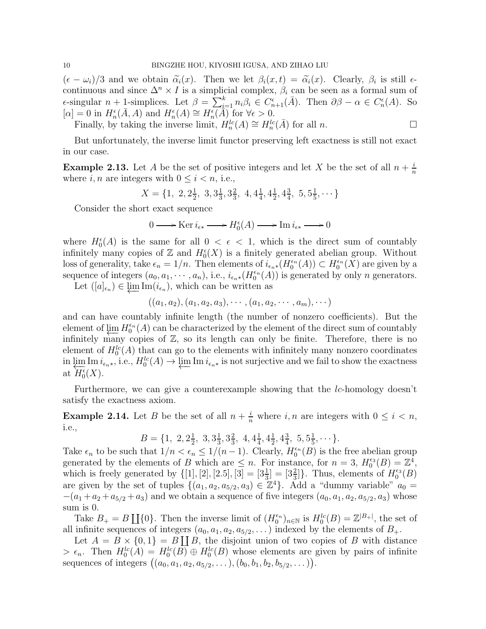$(\epsilon - \omega_i)/3$  and we obtain  $\tilde{\alpha}_i(x)$ . Then we let  $\beta_i(x,t) = \tilde{\alpha}_i(x)$ . Clearly,  $\beta_i$  is still  $\epsilon$ continuous and since  $\Delta^n \times I$  is a simplicial complex,  $\beta_i$  can be seen as a formal sum of  $\epsilon$ -singular n + 1-simplices. Let  $\beta = \sum_{i=1}^{k} n_i \beta_i \in C_{n+1}^{\epsilon}(\bar{A})$ . Then  $\partial \beta - \alpha \in C_n^{\epsilon}(A)$ . So  $[\alpha] = 0$  in  $H_n^{\epsilon}(\overline{A}, A)$  and  $H_n^{\epsilon}(A) \cong H_n^{\epsilon}(\overline{A})$  for  $\forall \epsilon > 0$ .

Finally, by taking the inverse limit,  $H_n^{lc}(A) \cong H_n^{lc}(\overline{A})$  for all n.

But unfortunately, the inverse limit functor preserving left exactness is still not exact in our case.

**Example 2.13.** Let A be the set of positive integers and let X be the set of all  $n + \frac{i}{n}$ n where  $i, n$  are integers with  $0 \leq i \leq n$ , i.e.,

$$
X = \{1, 2, 2\frac{1}{2}, 3, 3\frac{1}{3}, 3\frac{2}{3}, 4, 4\frac{1}{4}, 4\frac{1}{2}, 4\frac{3}{4}, 5, 5\frac{1}{5}, \cdots\}
$$

Consider the short exact sequence

$$
0 \longrightarrow \text{Ker } i_{\epsilon *} \longrightarrow H_0^{\epsilon}(A) \longrightarrow \text{Im } i_{\epsilon *} \longrightarrow 0
$$

where  $H_0^{\epsilon}(A)$  is the same for all  $0 < \epsilon < 1$ , which is the direct sum of countably infinitely many copies of  $\mathbb Z$  and  $H_0^{\epsilon}(X)$  is a finitely generated abelian group. Without loss of generality, take  $\epsilon_n = 1/n$ . Then elements of  $i_{\epsilon_n *} (H_0^{\epsilon_n}(A)) \subset H_0^{\epsilon_n}(X)$  are given by a sequence of integers  $(a_0, a_1, \dots, a_n)$ , i.e.,  $i_{\epsilon_n *} (H_0^{\epsilon_n}(A))$  is generated by only n generators.

Let  $([a]_{\epsilon_n}) \in \varprojlim \mathrm{Im}(i_{\epsilon_n}),$  which can be written as

$$
((a_1, a_2), (a_1, a_2, a_3), \cdots, (a_1, a_2, \cdots, a_m), \cdots)
$$

and can have countably infinite length (the number of nonzero coefficients). But the element of  $\varprojlim H_0^{\epsilon_n}(A)$  can be characterized by the element of the direct sum of countably infinitely many copies of  $Z$ , so its length can only be finite. Therefore, there is no element of  $H_0^{lc}(A)$  that can go to the elements with infinitely many nonzero coordinates in  $\lim_{\epsilon \to \infty} \text{Im } i_{\epsilon_n *}$ , i.e.,  $H_0^{lc}(A) \to \lim_{\epsilon \to \infty} \text{Im } i_{\epsilon_n *}$  is not surjective and we fail to show the exactness at  $H_0^{\epsilon}(X)$ .

Furthermore, we can give a counterexample showing that the  $lc$ -homology doesn't satisfy the exactness axiom.

**Example 2.14.** Let B be the set of all  $n + \frac{i}{n}$  where i, n are integers with  $0 \le i \le n$ , i.e.,

> $B = \{1, 2, 2\frac{1}{2}\}$  $\frac{1}{2}$ , 3, 3 $\frac{1}{3}$  $\frac{1}{3}$ ,  $3\frac{2}{3}$  $\frac{2}{3}$ , 4, 4 $\frac{1}{4}$  $\frac{1}{4}$ ,  $4\frac{1}{2}$  $\frac{1}{2}, 4\frac{3}{4}$  $\frac{3}{4}$ , 5,  $5\frac{1}{5}$  $\frac{1}{5}, \cdots \}.$

Take  $\epsilon_n$  to be such that  $1/n < \epsilon_n \leq 1/(n-1)$ . Clearly,  $H_0^{\epsilon_n}(B)$  is the free abelian group generated by the elements of B which are  $\leq n$ . For instance, for  $n = 3$ ,  $H_0^{\epsilon_3}(B) = \mathbb{Z}^4$ , which is freely generated by  $\{[1], [2], [2.5], [3] = [3\frac{1}{3}] = [3\frac{2}{3}]\}.$  Thus, elements of  $H_0^{\epsilon_3}(B)$ are given by the set of tuples  $\{(a_1, a_2, a_{5/2}, a_3) \in \mathbb{Z}^4\}$ . Add a "dummy variable"  $a_0 =$  $-(a_1 + a_2 + a_{5/2} + a_3)$  and we obtain a sequence of five integers  $(a_0, a_1, a_2, a_{5/2}, a_3)$  whose sum is 0.

Take  $B_+ = B \coprod \{0\}$ . Then the inverse limit of  $(H_0^{\epsilon_n})_{n \in \mathbb{N}}$  is  $H_0^{lc}(B) = \mathbb{Z}^{|B_+|}$ , the set of all infinite sequences of integers  $(a_0, a_1, a_2, a_{5/2}, \dots)$  indexed by the elements of  $B_+$ .

Let  $A = B \times \{0,1\} = B \coprod B$ , the disjoint union of two copies of B with distance  $> \epsilon_n$ . Then  $H_0^{lc}(A) = H_0^{lc}(B) \oplus H_0^{lc}(B)$  whose elements are given by pairs of infinite sequences of integers  $((a_0, a_1, a_2, a_{5/2}, \ldots), (b_0, b_1, b_2, b_{5/2}, \ldots)).$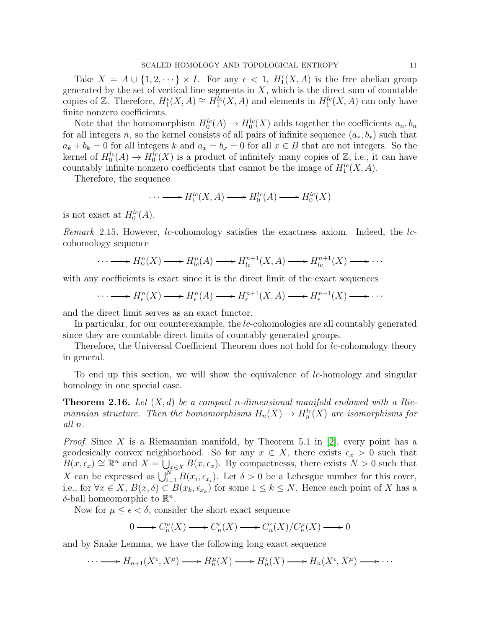Take  $X = A \cup \{1, 2, \dots\} \times I$ . For any  $\epsilon < 1$ ,  $H_1^{\epsilon}(X, A)$  is the free abelian group generated by the set of vertical line segments in  $X$ , which is the direct sum of countable copies of Z. Therefore,  $H_1^{\epsilon}(X, A) \cong H_1^{lc}(X, A)$  and elements in  $H_1^{lc}(X, A)$  can only have finite nonzero coefficients.

Note that the homomorphism  $H_0^{lc}(A) \to H_0^{lc}(X)$  adds together the coefficients  $a_n, b_n$ for all integers n, so the kernel consists of all pairs of infinite sequence  $(a_*, b_*)$  such that  $a_k + b_k = 0$  for all integers k and  $a_x = b_x = 0$  for all  $x \in B$  that are not integers. So the kernel of  $H_0^{lc}(A) \to H_0^{lc}(X)$  is a product of infinitely many copies of  $\mathbb{Z}$ , i.e., it can have countably infinite nonzero coefficients that cannot be the image of  $H_1^{lc}(X, A)$ .

Therefore, the sequence

$$
\cdots \longrightarrow H_1^{lc}(X, A) \longrightarrow H_0^{lc}(A) \longrightarrow H_0^{lc}(X)
$$

is not exact at  $H_0^{lc}(A)$ .

Remark 2.15. However, *lc*-cohomology satisfies the exactness axiom. Indeed, the *lc*cohomology sequence

$$
\cdots \longrightarrow H_{lc}^n(X) \longrightarrow H_{lc}^n(A) \longrightarrow H_{lc}^{n+1}(X, A) \longrightarrow H_{lc}^{n+1}(X) \longrightarrow \cdots
$$

with any coefficients is exact since it is the direct limit of the exact sequences

$$
\cdots \longrightarrow H^n_{\epsilon}(X) \longrightarrow H^n_{\epsilon}(A) \longrightarrow H^{n+1}_{\epsilon}(X, A) \longrightarrow H^{n+1}_{\epsilon}(X) \longrightarrow \cdots
$$

and the direct limit serves as an exact functor.

In particular, for our counterexample, the lc-cohomologies are all countably generated since they are countable direct limits of countably generated groups.

Therefore, the Universal Coefficient Theorem does not hold for *lc*-cohomology theory in general.

To end up this section, we will show the equivalence of *lc*-homology and singular homology in one special case.

**Theorem 2.16.** Let  $(X, d)$  be a compact n-dimensional manifold endowed with a Riemannian structure. Then the homomorphisms  $H_n(X) \to H_n^{lc}(X)$  are isomorphisms for all n.

*Proof.* Since X is a Riemannian manifold, by Theorem 5.1 in [\[2\]](#page-14-2), every point has a geodesically convex neighborhood. So for any  $x \in X$ , there exists  $\epsilon_x > 0$  such that  $B(x, \epsilon_x) \cong \mathbb{R}^n$  and  $X = \bigcup_{x \in X} B(x, \epsilon_x)$ . By compactnesss, there exists  $N > 0$  such that X can be expressed as  $\bigcup_{i=1}^{N} B(x_i, \epsilon_{x_i})$ . Let  $\delta > 0$  be a Lebesgue number for this cover, i.e., for  $\forall x \in X$ ,  $B(x, \delta) \subset B(x_k, \epsilon_{x_k})$  for some  $1 \leq k \leq N$ . Hence each point of X has a δ-ball homeomorphic to  $\mathbb{R}^n$ .

Now for  $\mu \leq \epsilon < \delta$ , consider the short exact sequence

$$
0 \longrightarrow C_n^{\mu}(X) \longrightarrow C_n^{\epsilon}(X) \longrightarrow C_n^{\epsilon}(X)/C_n^{\mu}(X) \longrightarrow 0
$$

and by Snake Lemma, we have the following long exact sequence

 $\cdots \longrightarrow H_{n+1}(X^{\epsilon}, X^{\mu}) \longrightarrow H_n^{\mu}(X) \longrightarrow H_n^{\epsilon}(X) \longrightarrow H_n(X^{\epsilon}, X^{\mu}) \longrightarrow \cdots$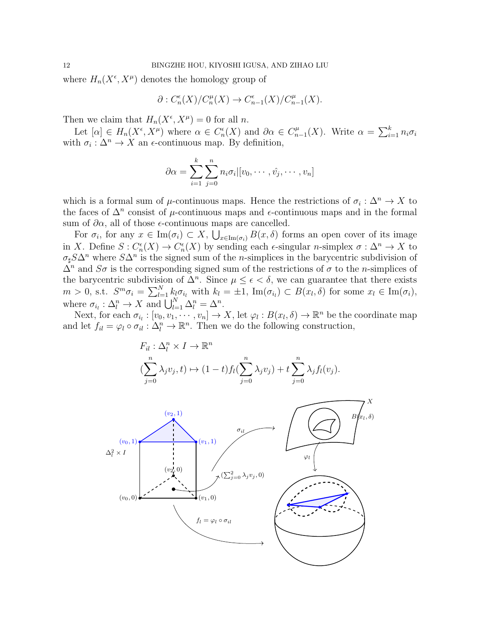where  $H_n(X^{\epsilon}, X^{\mu})$  denotes the homology group of

$$
\partial: C_n^{\epsilon}(X)/C_n^{\mu}(X) \to C_{n-1}^{\epsilon}(X)/C_{n-1}^{\mu}(X).
$$

Then we claim that  $H_n(X^{\epsilon}, X^{\mu}) = 0$  for all *n*.

Let  $[\alpha] \in H_n(X^{\epsilon}, X^{\mu})$  where  $\alpha \in C_n^{\epsilon}(X)$  and  $\partial \alpha \in C_n^{\mu}$  $\sum_{n=1}^{\mu} (X)$ . Write  $\alpha = \sum_{i=1}^{k} n_i \sigma_i$ with  $\sigma_i : \Delta^n \to X$  an  $\epsilon$ -continuous map. By definition,

$$
\partial \alpha = \sum_{i=1}^k \sum_{j=0}^n n_i \sigma_i | [v_0, \cdots, \hat{v_j}, \cdots, v_n]
$$

which is a formal sum of  $\mu$ -continuous maps. Hence the restrictions of  $\sigma_i : \Delta^n \to X$  to the faces of  $\Delta^n$  consist of  $\mu$ -continuous maps and  $\epsilon$ -continuous maps and in the formal sum of  $\partial \alpha$ , all of those  $\epsilon$ -continuous maps are cancelled.

For  $\sigma_i$ , for any  $x \in \text{Im}(\sigma_i) \subset X$ ,  $\bigcup_{x \in \text{Im}(\sigma_i)} E(x, \delta)$  forms an open cover of its image in X. Define  $S: C_n^{\epsilon}(X) \to C_n^{\epsilon}(X)$  by sending each  $\epsilon$ -singular *n*-simplex  $\sigma: \Delta^n \to X$  to  $\sigma_{\sharp} S\Delta^{n}$  where  $S\Delta^{n}$  is the signed sum of the *n*-simplices in the barycentric subdivision of  $\Delta^n$  and  $S\sigma$  is the corresponding signed sum of the restrictions of  $\sigma$  to the *n*-simplices of the barycentric subdivision of  $\Delta^n$ . Since  $\mu \leq \epsilon < \delta$ , we can guarantee that there exists  $m > 0$ , s.t.  $S^m \sigma_i = \sum_{l=1}^N k_l \sigma_{i_l}$  with  $k_l = \pm 1$ ,  $\text{Im}(\sigma_{i_l}) \subset B(x_l, \delta)$  for some  $x_l \in \text{Im}(\sigma_i)$ , where  $\sigma_{i_l} : \Delta_l^n \to X$  and  $\bigcup_{l=1}^N \Delta_l^n = \Delta^n$ .

Next, for each  $\sigma_{i_l} : [v_0, v_1, \cdots, v_n] \to X$ , let  $\varphi_l : B(x_l, \delta) \to \mathbb{R}^n$  be the coordinate map and let  $f_{il} = \varphi_l \circ \sigma_{il} : \Delta_l^n \to \mathbb{R}^n$ . Then we do the following construction,

$$
F_{il}: \Delta_l^n \times I \to \mathbb{R}^n
$$
  

$$
(\sum_{j=0}^n \lambda_j v_j, t) \mapsto (1-t)f_l(\sum_{j=0}^n \lambda_j v_j) + t \sum_{j=0}^n \lambda_j f_l(v_j).
$$

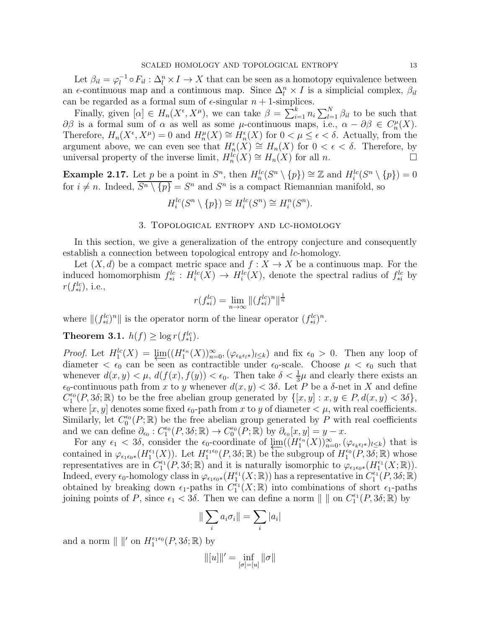Let  $\beta_{il} = \varphi_l^{-1}$  $l_l^{-1} \circ F_{il} : \Delta_l^n \times I \to X$  that can be seen as a homotopy equivalence between an  $\epsilon$ -continuous map and a continuous map. Since  $\Delta_l^n \times I$  is a simplicial complex,  $\beta_{il}$ can be regarded as a formal sum of  $\epsilon$ -singular  $n + 1$ -simplices.

Finally, given  $[\alpha] \in H_n(X^{\epsilon}, X^{\mu})$ , we can take  $\beta = \sum_{i=1}^{k} n_i \sum_{l=1}^{N} \beta_{il}$  to be such that  $\partial \beta$  is a formal sum of  $\alpha$  as well as some  $\mu$ -continuous maps, i.e.,  $\alpha - \partial \beta \in C_n^{\mu}(X)$ . Therefore,  $H_n(X^{\epsilon}, X^{\mu}) = 0$  and  $H_n^{\mu}(X) \cong H_n^{\epsilon}(X)$  for  $0 < \mu \leq \epsilon < \delta$ . Actually, from the argument above, we can even see that  $H_n^{\epsilon}(X) \cong H_n(X)$  for  $0 < \epsilon < \delta$ . Therefore, by universal property of the inverse limit,  $H_n^{lc}(X) \cong H_n(X)$  for all n.

**Example 2.17.** Let p be a point in  $S^n$ , then  $H_n^{lc}(S^n \setminus \{p\}) \cong \mathbb{Z}$  and  $H_i^{lc}(S^n \setminus \{p\}) = 0$ for  $i \neq n$ . Indeed,  $S^n \setminus \{p\} = S^n$  and  $S^n$  is a compact Riemannian manifold, so

$$
H_i^{lc}(S^n \setminus \{p\}) \cong H_i^{lc}(S^n) \cong H_i^n(S^n).
$$

### 3. Topological entropy and lc-homology

<span id="page-12-0"></span>In this section, we give a generalization of the entropy conjecture and consequently establish a connection between topological entropy and *lc*-homology.

Let  $(X, d)$  be a compact metric space and  $f : X \to X$  be a continuous map. For the induced homomorphism  $f_{*i}^{lc}: H_i^{lc}(X) \to H_i^{lc}(X)$ , denote the spectral radius of  $f_{*i}^{lc}$  by  $r(f_{*i}^{lc})$ , i.e.,

$$
r(f_{*i}^{lc}) = \lim_{n \to \infty} ||(f_{*i}^{lc})^n||^{\frac{1}{n}}
$$

where  $\|(f_{*i}^{lc})^n\|$  is the operator norm of the linear operator  $(f_{*i}^{lc})^n$ .

**Theorem 3.1.**  $h(f) \ge \log r(f_{*1}^{lc})$ .

Proof. Let  $H_1^{lc}(X) = \lim_{\epsilon \to 0} ((H_1^{\epsilon_n}(X))_{n=0}^{\infty}, (\varphi_{\epsilon_k \epsilon_l *})_{l \leq k})$  and fix  $\epsilon_0 > 0$ . Then any loop of diameter  $\langle \epsilon_0 \rangle$  can be seen as contractible under  $\epsilon_0$ -scale. Choose  $\mu \langle \epsilon_0 \rangle$  such that whenever  $d(x, y) < \mu$ ,  $d(f(x), f(y)) < \epsilon_0$ . Then take  $\delta < \frac{1}{3}\mu$  and clearly there exists an  $\epsilon_0$ -continuous path from x to y whenever  $d(x, y) < 3\delta$ . Let P be a  $\delta$ -net in X and define  $C_1^{\epsilon_0}(P, 3\delta; \mathbb{R})$  to be the free abelian group generated by  $\{[x, y] : x, y \in P, d(x, y) < 3\delta\},$ where  $[x, y]$  denotes some fixed  $\epsilon_0$ -path from x to y of diameter  $\lt \mu$ , with real coefficients. Similarly, let  $C_0^{\epsilon_0}(P;\mathbb{R})$  be the free abelian group generated by P with real coefficients and we can define  $\partial_{\epsilon_0}: C_1^{\epsilon_0}(P, 3\delta; \mathbb{R}) \to C_0^{\epsilon_0}(P; \mathbb{R})$  by  $\partial_{\epsilon_0}[x, y] = y - x$ .

For any  $\epsilon_1 < 3\delta$ , consider the  $\epsilon_0$ -coordinate of  $\lim_{n \to \infty} ((H_1^{\epsilon_n}(X))_{n=0}^{\infty}, (\varphi_{\epsilon_k \epsilon_l *})_{l \leq k})$  that is contained in  $\varphi_{\epsilon_1\epsilon_0*}(H_1^{\epsilon_1}(X))$ . Let  $H_1^{\epsilon_1\epsilon_0}(P,3\delta;\mathbb{R})$  be the subgroup of  $H_1^{\epsilon_0}(P,3\delta;\mathbb{R})$  whose representatives are in  $C_1^{\epsilon_1}(P, 3\delta; \mathbb{R})$  and it is naturally isomorphic to  $\varphi_{\epsilon_1\epsilon_0*}(H_1^{\epsilon_1}(X;\mathbb{R}))$ . Indeed, every  $\epsilon_0$ -homology class in  $\varphi_{\epsilon_1\epsilon_0*}(H_1^{\epsilon_1}(X;\mathbb{R}))$  has a representative in  $C_1^{\epsilon_1}(P,3\delta;\mathbb{R})$ obtained by breaking down  $\epsilon_1$ -paths in  $C_1^{\epsilon_1}(X;\mathbb{R})$  into combinations of short  $\epsilon_1$ -paths joining points of P, since  $\epsilon_1 < 3\delta$ . Then we can define a norm  $\| \parallel$  on  $C_1^{\epsilon_1}(P, 3\delta; \mathbb{R})$  by

$$
\|\sum_i a_i \sigma_i\| = \sum_i |a_i|
$$

and a norm  $\| \ \|'$  on  $H_1^{\epsilon_1 \epsilon_0}(P, 3\delta; \mathbb{R})$  by

$$
\|[u]\|' = \inf_{[\sigma] = [u]} \|\sigma\|
$$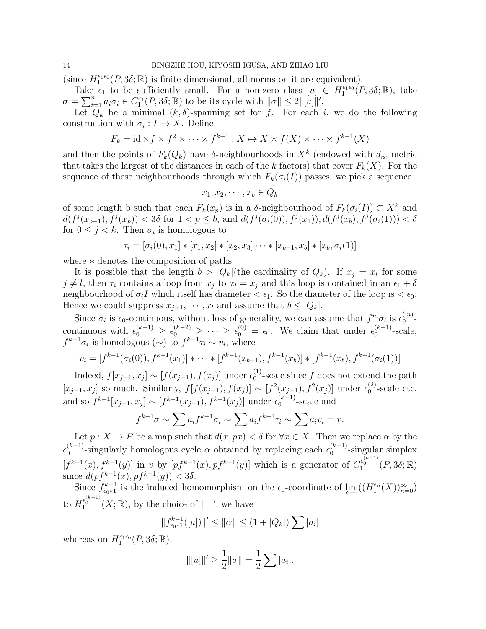(since  $H_1^{\epsilon_1\epsilon_0}(P,3\delta;\mathbb{R})$  is finite dimensional, all norms on it are equivalent).

Take  $\epsilon_1$  to be sufficiently small. For a non-zero class  $[u] \in H_1^{\epsilon_1 \epsilon_0}(P, 3\delta; \mathbb{R})$ , take  $\sigma = \sum_{i=1}^n a_i \sigma_i \in C_1^{\epsilon_1}(P, 3\delta; \mathbb{R})$  to be its cycle with  $\|\sigma\| \leq 2 \|[u]\|'.$ 

Let  $Q_k$  be a minimal  $(k, \delta)$ -spanning set for f. For each i, we do the following construction with  $\sigma_i: I \to X$ . Define

$$
F_k = \mathrm{id} \times f \times f^2 \times \cdots \times f^{k-1} : X \mapsto X \times f(X) \times \cdots \times f^{k-1}(X)
$$

and then the points of  $F_k(Q_k)$  have  $\delta$ -neighbourhoods in  $X^k$  (endowed with  $d_{\infty}$  metric that takes the largest of the distances in each of the k factors) that cover  $F_k(X)$ . For the sequence of these neighbourhoods through which  $F_k(\sigma_i(I))$  passes, we pick a sequence

$$
x_1, x_2, \cdots, x_b \in Q_k
$$

of some length b such that each  $F_k(x_p)$  is in a δ-neighbourhood of  $F_k(\sigma_i(I)) \subset X^k$  and  $d(f^j(x_{p-1}), f^j(x_p)) < 3\delta$  for  $1 < p \leq b$ , and  $d(f^j(\sigma_i(0)), f^j(x_1)), d(f^j(x_b), f^j(\sigma_i(1))) < \delta$ for  $0 \leq j < k$ . Then  $\sigma_i$  is homologous to

$$
\tau_i = [\sigma_i(0), x_1] * [x_1, x_2] * [x_2, x_3] \cdots * [x_{b-1}, x_b] * [x_b, \sigma_i(1)]
$$

where ∗ denotes the composition of paths.

It is possible that the length  $b > |Q_k|$  (the cardinality of  $Q_k$ ). If  $x_j = x_l$  for some  $j \neq l$ , then  $\tau_i$  contains a loop from  $x_j$  to  $x_l = x_j$  and this loop is contained in an  $\epsilon_1 + \delta$ neighbourhood of  $\sigma_i I$  which itself has diameter  $\epsilon_1$ . So the diameter of the loop is  $\epsilon_0$ . Hence we could suppress  $x_{j+1}, \dots, x_l$  and assume that  $b \leq |Q_k|$ .

Since  $\sigma_i$  is  $\epsilon_0$ -continuous, without loss of generality, we can assume that  $f^m \sigma_i$  is  $\epsilon_0^{(m)}$  $\binom{m}{0}$  – continuous with  $\epsilon_0^{(k-1)} \geq \epsilon_0^{(k-2)} \geq \cdots \geq \epsilon_0^{(0)} = \epsilon_0$ . We claim that under  $\epsilon_0^{(k-1)}$  $6^{(\kappa-1)}$ -scale,  $f^{k-1}\sigma_i$  is homologous  $(\sim)$  to  $f^{k-1}\tau_i \sim v_i$ , where

$$
v_i = [f^{k-1}(\sigma_i(0)), f^{k-1}(x_1)] * \cdots * [f^{k-1}(x_{b-1}), f^{k-1}(x_b)] * [f^{k-1}(x_b), f^{k-1}(\sigma_i(1))]
$$

Indeed,  $f[x_{j-1}, x_j] \sim [f(x_{j-1}), f(x_j)]$  under  $\epsilon_0^{(1)}$  $_{0}^{(1)}$ -scale since f does not extend the path  $[x_{j-1}, x_j]$  so much. Similarly,  $f[f(x_{j-1}), f(x_j)] \sim [f^2(x_{j-1}), f^2(x_j)]$  under  $\epsilon_0^{(2)}$  $_0^{(2)}$ -scale etc. and so  $f^{k-1}[x_{j-1}, x_j] \sim [f^{k-1}(x_{j-1}), f^{k-1}(x_j)]$  under  $\epsilon_0^{(k-1)}$  $\int_{0}^{(\kappa-1)}$ -scale and

$$
f^{k-1}\sigma \sim \sum a_i f^{k-1}\sigma_i \sim \sum a_i f^{k-1}\tau_i \sim \sum a_i v_i = v.
$$

Let  $p: X \to P$  be a map such that  $d(x, px) < \delta$  for  $\forall x \in X$ . Then we replace  $\alpha$  by the  $\epsilon_0^{(k-1)}$  $\binom{k-1}{0}$ -singularly homologous cycle  $\alpha$  obtained by replacing each  $\epsilon_0^{(k-1)}$  $0^{(k-1)}$ -singular simplex  $[f^{k-1}(x), f^{k-1}(y)]$  in v by  $[pf^{k-1}(x), pf^{k-1}(y)]$  which is a generator of  $C_1^{\epsilon_0^{(k-1)}}(P, 3\delta; \mathbb{R})$ since  $d(pf^{k-1}(x), pf^{k-1}(y)) < 3\delta$ .

Since  $f_{\epsilon_0*1}^{k-1}$  is the induced homomorphism on the  $\epsilon_0$ -coordinate of  $\varprojlim_{n=0} ((H_1^{\epsilon_n}(X))_{n=0}^{\infty})$ to  $H_1^{\epsilon_0^{(k-1)}}(X;\mathbb{R})$ , by the choice of  $\|\ \|'$ , we have

$$
||f_{\epsilon_0*1}^{k-1}([u])||' \le ||\alpha|| \le (1 + |Q_k|) \sum |a_i|
$$

whereas on  $H_1^{\epsilon_1 \epsilon_0}(P, 3\delta; \mathbb{R}),$ 

$$
\| [u] \|' \ge \frac{1}{2} \| \sigma \| = \frac{1}{2} \sum |a_i|.
$$